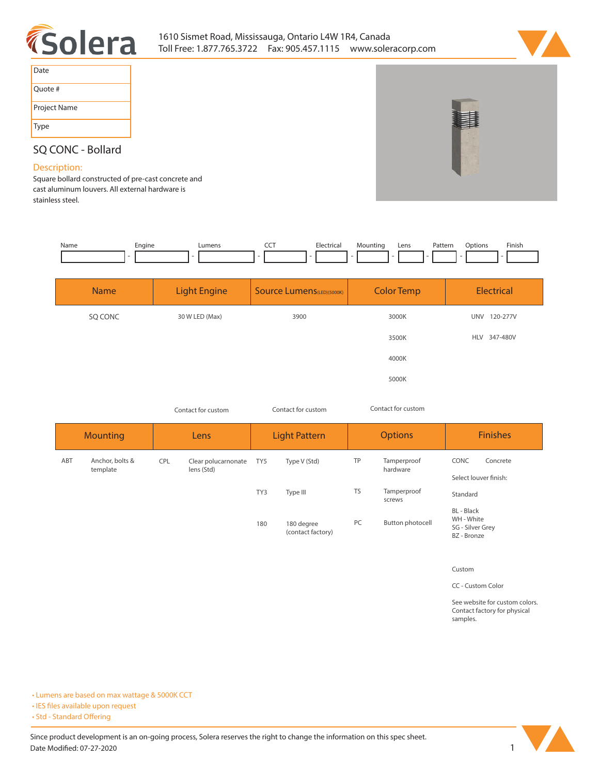



| Date         |
|--------------|
| Quote #      |
| Project Name |
| Type         |

## **SQ CONC - Bollard**

## **Description:**

**Square bollard constructed of pre-cast concrete and cast aluminum louvers. All external hardware is stainless steel.** 

| Name | Engine | umens | --- | Hectrical<br>$\sim$ $\sim$ | Aountina | Lens | Patterr<br>. | Jotions | Finish |
|------|--------|-------|-----|----------------------------|----------|------|--------------|---------|--------|
|      |        |       |     |                            |          |      |              |         |        |

| <b>Name</b> | <b>Light Engine</b> | Source Lumens(LED)(5000K) | <b>Color Temp</b> | Electrical             |
|-------------|---------------------|---------------------------|-------------------|------------------------|
| SQ CONC     | 30 W LED (Max)      | 3900                      | 3000K             | <b>UNV</b><br>120-277V |
|             |                     |                           | 3500K             | 347-480V<br><b>HLV</b> |
|             |                     |                           | 4000K             |                        |
|             |                     |                           | 5000K             |                        |

|     | Contact for custom          |            | Contact for custom                |     | Contact for custom              |           |                         |                                                             |  |
|-----|-----------------------------|------------|-----------------------------------|-----|---------------------------------|-----------|-------------------------|-------------------------------------------------------------|--|
|     | <b>Mounting</b>             |            | Lens                              |     | <b>Light Pattern</b>            |           | <b>Options</b>          | <b>Finishes</b>                                             |  |
| ABT | Anchor, bolts &<br>template | <b>CPL</b> | Clear polucarnonate<br>lens (Std) | TY5 | Type V (Std)                    | TP        | Tamperproof<br>hardware | CONC<br>Concrete<br>Select louver finish:                   |  |
|     |                             |            |                                   | TY3 | Type III                        | <b>TS</b> | Tamperproof<br>screws   | Standard                                                    |  |
|     |                             |            |                                   | 180 | 180 degree<br>(contact factory) | PC        | Button photocell        | BL - Black<br>WH - White<br>SG - Silver Grey<br>BZ - Bronze |  |

**Custom**

**CC - Custom Color**

**See website for custom colors. Contact factory for physical samples.** 

**• Lumens are based on max wattage & 5000K CCT**

**• IES files available upon request** 

• Std - Standard Offering

Since product development is an on-going process, Solera reserves the right to change the information on this spec sheet. **Date Modified: 07-27-2020** 1